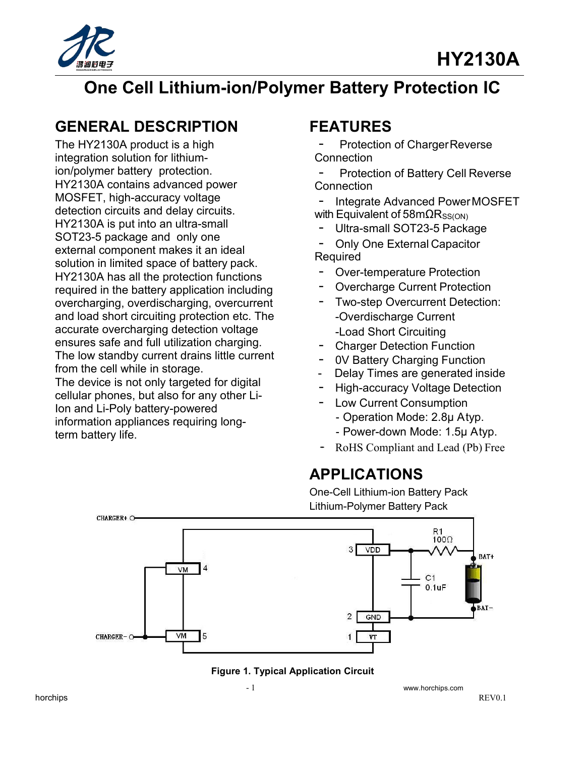



# **One Cell Lithium-ion/Polymer Battery Protection IC**

# **GENERAL DESCRIPTION**

The HY2130A product is a high integration solution for lithiumion/polymer battery protection. HY2130A contains advanced power MOSFET, high-accuracy voltage detection circuits and delay circuits. HY2130A is put into an ultra-small SOT23-5 package and only one<br>
- Only One External Capacitor external component makes it an ideal solution in limited space of battery pack. HY2130A has all the protection functions<br>required in the battery application including<br>The Overcharge Current Protection required in the battery application including overcharging, overdischarging, overcurrent and load short circuiting protection etc. The accurate overcharging detection voltage ensures safe and full utilization charging. The low standby current drains little current from the cell while in storage.

The device is not only targeted for digital cellular phones, but also for any other Li-Ion and Li-Poly battery-powered<br>Ion and Li-Poly battery-powered information appliances requiring long-<br>term battery life<br>Fower-down Mode: 1.5µ Atyp. term battery life.

## **FEATURES**

Protection of ChargerReverse **Connection** 

Protection of Battery Cell Reverse **Connection** 

Integrate Advanced PowerMOSFET with Equivalent of 58m $\Omega$ Rss(ON)

Ultra-small SOT23-5 Package

Required Properties Compact Capaciter<br>- Over-temperature Protection<br>- Overshame Current Protection

- 
- Over-temperature Protection<br>- Overcharge Current Protection<br>- Two stan Overwarent Petertion
- Two-step Overcurrent Detection: -Load Short Circuiting
- · Charger Detection Function
- 0V Battery Charging Function
- 
- Delay Times are generated inside<br>- High-accuracy Voltage Detection **High-accuracy Voltage Detection**
- - Operation Mode: 2.8μ Atyp.
	-
- RoHS Compliant and Lead (Pb) Free

### **APPLICATIONS**

One-Cell Lithium-ion Battery Pack Lithium-Polymer Battery Pack



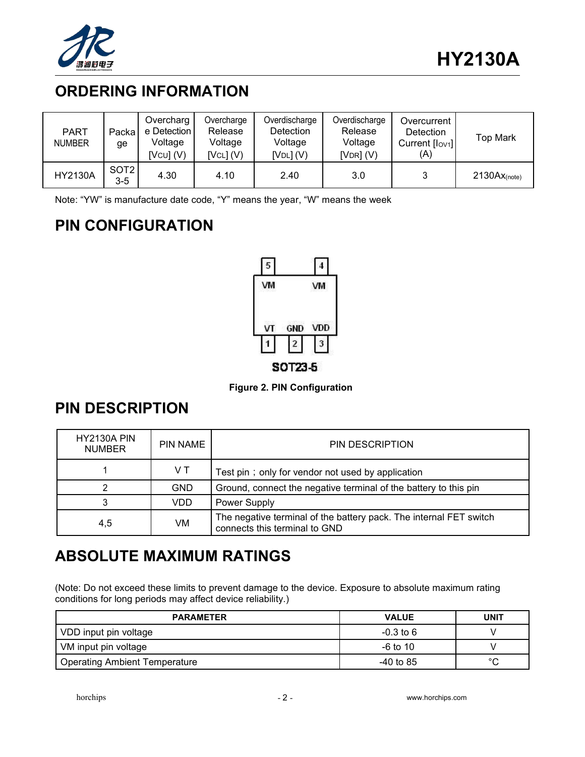

# **ORDERING INFORMATION**

| <b>PART</b><br><b>NUMBER</b> | Packa<br>ge               | Overcharg<br>e Detection<br>Voltage<br>[VCU] (V) | Overcharge<br>Release<br>Voltage<br>[VCL] (V) | Overdischarge<br><b>Detection</b><br>Voltage<br>[Vol](V) | Overdischarge<br>Release<br>Voltage<br>$[VDR]$ (V) | Overcurrent<br><b>Detection</b><br>Current [lov1]<br>(A) | <b>Top Mark</b> |
|------------------------------|---------------------------|--------------------------------------------------|-----------------------------------------------|----------------------------------------------------------|----------------------------------------------------|----------------------------------------------------------|-----------------|
| <b>HY2130A</b>               | SOT <sub>2</sub><br>$3-5$ | 4.30                                             | 4.10                                          | 2.40                                                     | 3.0                                                |                                                          | $2130Ax(note)}$ |

Note: "YW" is manufacture date code, "Y" means the year, "W" means the week

# **PIN CONFIGURATION**



**Figure 2. PIN Configuration**

## **PIN DESCRIPTION**

| <b>HY2130A PIN</b><br><b>NUMBER</b> | PIN NAME   | PIN DESCRIPTION                                                                                     |
|-------------------------------------|------------|-----------------------------------------------------------------------------------------------------|
|                                     | VT.        | Test pin; only for vendor not used by application                                                   |
|                                     | <b>GND</b> | Ground, connect the negative terminal of the battery to this pin                                    |
|                                     | VDD.       | Power Supply                                                                                        |
| 4,5                                 | VM.        | The negative terminal of the battery pack. The internal FET switch<br>connects this terminal to GND |

# **ABSOLUTE MAXIMUM RATINGS**

(Note: Do not exceed these limits to prevent damage to the device. Exposure to absolute maximum rating conditions for long periods may affect device reliability.)

| <b>PARAMETER</b>              | <b>VALUE</b> | <b>UNIT</b> |
|-------------------------------|--------------|-------------|
| VDD input pin voltage         | $-0.3$ to 6  |             |
| VM input pin voltage          | $-6$ to 10   |             |
| Operating Ambient Temperature | $-40$ to 85  | $\sim$      |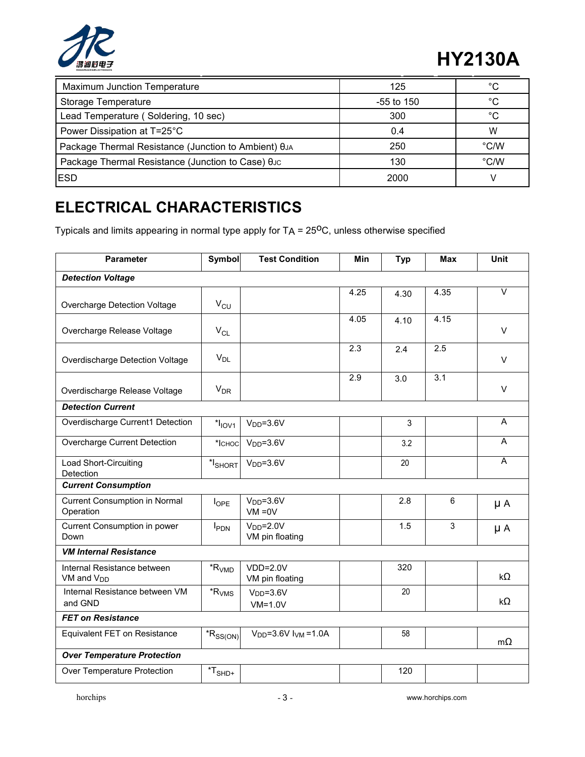

# **HY2130A**

| <b>Maximum Junction Temperature</b>                          | 125          | $\circ$       |
|--------------------------------------------------------------|--------------|---------------|
| Storage Temperature                                          | $-55$ to 150 | $\circ$       |
| Lead Temperature (Soldering, 10 sec)                         | 300          | $\circ$       |
| Power Dissipation at T=25°C                                  | 0.4          | W             |
| Package Thermal Resistance (Junction to Ambient) $\theta$ JA | 250          | $\degree$ C/W |
| Package Thermal Resistance (Junction to Case) θυς            | 130          | $\degree$ C/W |
| <b>IESD</b>                                                  | 2000         |               |

# **ELECTRICAL CHARACTERISTICS**

Typicals and limits appearing in normal type apply for TA = 25<sup>0</sup>C, unless otherwise specified

| Parameter                                             | Symbol                                                                | <b>Test Condition</b>           | Min  | <b>Typ</b> | Max  | Unit                    |
|-------------------------------------------------------|-----------------------------------------------------------------------|---------------------------------|------|------------|------|-------------------------|
| <b>Detection Voltage</b>                              |                                                                       |                                 |      |            |      |                         |
| Overcharge Detection Voltage                          | $\rm V_{\rm CU}$                                                      |                                 | 4.25 | 4.30       | 4.35 | $\overline{\mathsf{v}}$ |
| Overcharge Release Voltage                            | $V_{CL}$                                                              |                                 | 4.05 | 4.10       | 4.15 | $\vee$                  |
| Overdischarge Detection Voltage                       | $V_{DL}$                                                              |                                 | 2.3  | 2.4        | 2.5  | $\vee$                  |
| Overdischarge Release Voltage                         | $V_{DR}$                                                              |                                 | 2.9  | 3.0        | 3.1  | V                       |
| <b>Detection Current</b>                              |                                                                       |                                 |      |            |      |                         |
| Overdischarge Current1 Detection                      | $*I$ <sub>IOV1</sub>                                                  | $VDD=3.6V$                      |      | 3          |      | Α                       |
| Overcharge Current Detection                          | $*$ ICHOC                                                             | $VDD=3.6V$                      |      | 3.2        |      | A                       |
| Load Short-Circuiting<br>Detection                    | $*lSHORT$                                                             | $VDD=3.6V$                      |      | 20         |      | $\overline{A}$          |
| <b>Current Consumption</b>                            |                                                                       |                                 |      |            |      |                         |
| <b>Current Consumption in Normal</b><br>Operation     | <b>l</b> OPE                                                          | $VDD=3.6V$<br>$VM = 0V$         |      | 2.8        | 6    | $\mu A$                 |
| Current Consumption in power<br>Down                  | $I_{PDN}$                                                             | $VDD=2.0V$<br>VM pin floating   |      | 1.5        | 3    | μA                      |
| <b>VM Internal Resistance</b>                         |                                                                       |                                 |      |            |      |                         |
| Internal Resistance between<br>VM and V <sub>DD</sub> | ${{^{*\!}}} R_{\mathsf{VMD}}$                                         | $VDD=2.0V$<br>VM pin floating   |      | 320        |      | $k\Omega$               |
| Internal Resistance between VM<br>and GND             | $*R_{VMS}$                                                            | $VDD=3.6V$<br>$VM=1.0V$         |      | 20         |      | $k\Omega$               |
| <b>FET on Resistance</b>                              |                                                                       |                                 |      |            |      |                         |
| Equivalent FET on Resistance                          | $*R_{SS(ON)}$                                                         | $V_{DD} = 3.6V$ $I_{VM} = 1.0A$ |      | 58         |      | $m\Omega$               |
| <b>Over Temperature Protection</b>                    |                                                                       |                                 |      |            |      |                         |
| Over Temperature Protection                           | $\displaystyle{ \raisebox{0.6ex}{\scriptsize{*}}} T_{\mathsf{SHD}^+}$ |                                 |      | 120        |      |                         |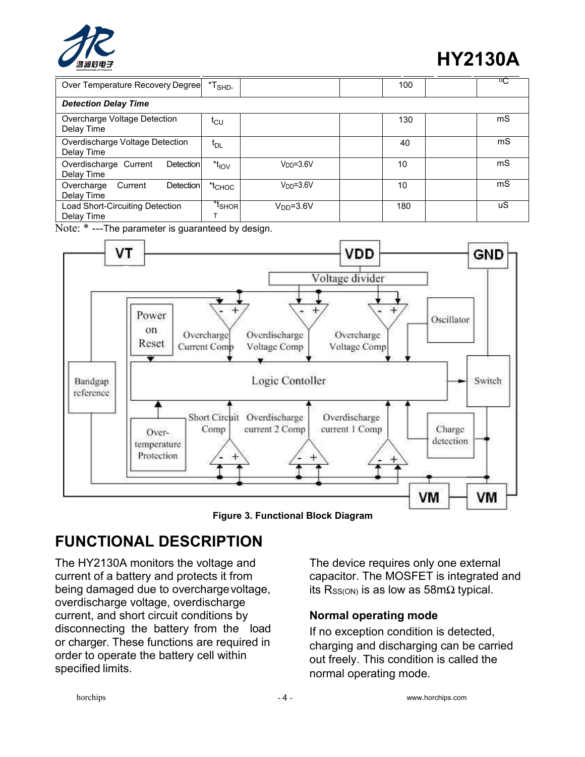

# **HY2130A**

| Over Temperature Recovery Degree                 | $*TSHD$             |            | 100 | ण् |
|--------------------------------------------------|---------------------|------------|-----|----|
| <b>Detection Delay Time</b>                      |                     |            |     |    |
| Overcharge Voltage Detection<br>Delay Time       | t <sub>CU</sub>     |            | 130 | mS |
| Overdischarge Voltage Detection<br>Delay Time    | $t_{DL}$            |            | 40  | mS |
| Overdischarge Current<br>Detection<br>Delay Time | $*_{\text{IOV}}$    | $VDD=3.6V$ | 10  | mS |
| Detection<br>Current<br>Overcharge<br>Delay Time | $*_{\mathsf{CHOC}}$ | $VDD=3.6V$ | 10  | mS |
| Load Short-Circuiting Detection<br>Delay Time    | *t <sub>SHOR</sub>  | $VDD=3.6V$ | 180 | uS |

Note: \* ---The parameter is guaranteed by design.



**Figure 3. Functional Block Diagram**

# **FUNCTIONAL DESCRIPTION**

The HY2130A monitors the voltage and current of a battery and protects it from being damaged due to overchargevoltage, overdischarge voltage, overdischarge current, and short circuit conditions by disconnecting the battery from the load or charger. These functions are required in order to operate the battery cell within specified limits.

The device requires only one external capacitor. The MOSFET is integrated and its R<sub>SS(ON)</sub> is as low as 58m $\Omega$  typical.

#### **Normal operating mode**

If no exception condition is detected, charging and discharging can be carried out freely. This condition is called the normal operating mode.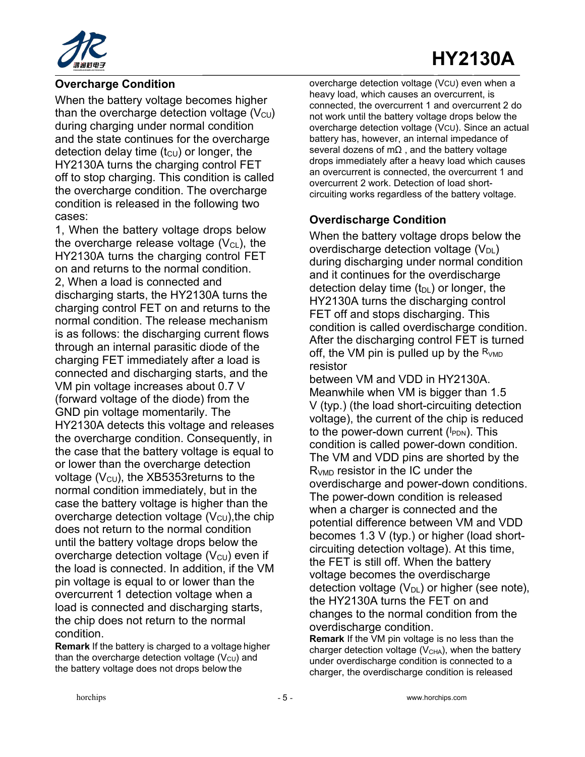

#### **Overcharge Condition**

When the battery voltage becomes higher than the overcharge detection voltage  $(V_{\text{CU}})$ during charging under normal condition and the state continues for the overcharge detection delay time  $(t<sub>CU</sub>)$  or longer, the HY2130A turns the charging control FET off to stop charging. This condition is called the overcharge condition. The overcharge condition is released in the following two cases:

1, When the battery voltage drops below the overcharge release voltage  $(V_{CL})$ , the HY2130A turns the charging control FET on and returns to the normal condition. 2, When a load is connected and discharging starts, the HY2130A turns the charging control FET on and returns to the normal condition. The release mechanism is as follows: the discharging current flows through an internal parasitic diode of the charging FET immediately after a load is connected and discharging starts, and the VM pin voltage increases about 0.7 V (forward voltage of the diode) from the GND pin voltage momentarily. The HY2130A detects this voltage and releases the overcharge condition. Consequently, in the case that the battery voltage is equal to or lower than the overcharge detection voltage ( $V_{\text{CU}}$ ), the XB5353 returns to the normal condition immediately, but in the case the battery voltage is higher than the overcharge detection voltage  $(V_{\text{CU}})$ , the chip does not return to the normal condition until the battery voltage drops below the overcharge detection voltage  $(V<sub>CU</sub>)$  even if the load is connected. In addition, if the VM pin voltage is equal to or lower than the overcurrent 1 detection voltage when a load is connected and discharging starts, the chip does not return to the normal condition.

**Remark** If the battery is charged to a voltage higher than the overcharge detection voltage  $(V<sub>CU</sub>)$  and the battery voltage does not drops below the

overcharge detection voltage (VCU) even when a heavy load, which causes an overcurrent, is connected, the overcurrent 1 and overcurrent 2 do not work until the battery voltage drops below the overcharge detection voltage (VCU). Since an actual battery has, however, an internal impedance of several dozens of m $\Omega$ , and the battery voltage drops immediately after a heavy load which causes an overcurrent is connected, the overcurrent 1 and overcurrent 2 work. Detection of load short circuiting works regardless of the battery voltage.

#### **Overdischarge Condition**

When the battery voltage drops below the overdischarge detection voltage  $(V_{DL})$ during discharging under normal condition and it continues for the overdischarge detection delay time  $(t_{DL})$  or longer, the HY2130A turns the discharging control FET off and stops discharging. This condition is called overdischarge condition. After the discharging control FET is turned off, the VM pin is pulled up by the  $R_{VMD}$ resistor

between VM and VDD in HY2130A. Meanwhile when VM is bigger than 1.5 V (typ.) (the load short-circuiting detection voltage), the current of the chip is reduced to the power-down current (I<sub>PDN</sub>). This condition is called power-down condition. The VM and VDD pins are shorted by the R<sub>VMD</sub> resistor in the IC under the overdischarge and power-down conditions. The power-down condition is released when a charger is connected and the potential difference between VM and VDD becomes 1.3 V (typ.) or higher (load short circuiting detection voltage). At this time, the FET is still off. When the battery voltage becomes the overdischarge detection voltage  $(V_{DL})$  or higher (see note), the HY2130A turns the FET on and changes to the normal condition from the overdischarge condition. **Remark** If the VM pin voltage is no less than the

charger detection voltage  $(V<sub>CHA</sub>)$ , when the battery under overdischarge condition is connected to a charger, the overdischarge condition is released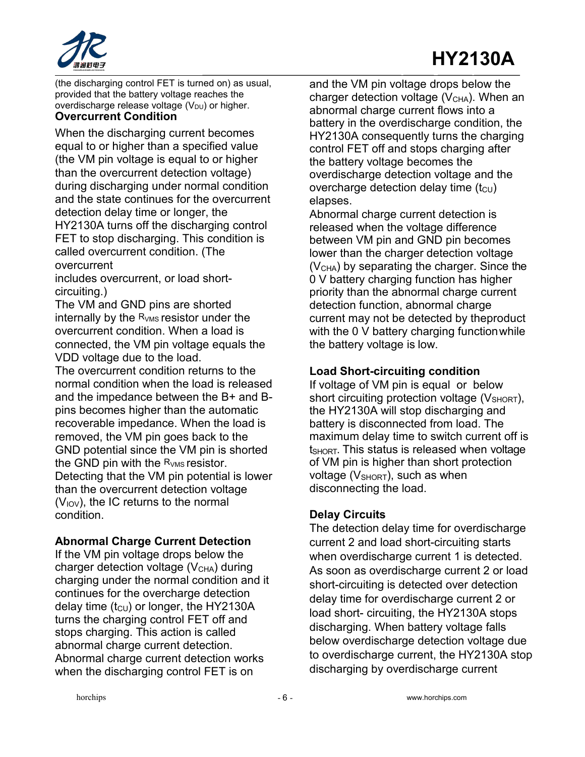

(the discharging control FET is turned on) as usual, provided that the battery voltage reaches the overdischarge release voltage  $(V_{DU})$  or higher. **Overcurrent Condition**

#### When the discharging current becomes equal to or higher than a specified value (the VM pin voltage is equal to or higher than the overcurrent detection voltage) during discharging under normal condition and the state continues for the overcurrent detection delay time or longer, the HY2130A turns off the discharging control FET to stop discharging. This condition is called overcurrent condition. (The overcurrent

includes overcurrent, or load short circuiting.)

The VM and GND pins are shorted internally by the  $R_{VMS}$  resistor under the overcurrent condition. When a load is connected, the VM pin voltage equals the VDD voltage due to the load.

The overcurrent condition returns to the normal condition when the load is released and the impedance between the B+ and B pins becomes higher than the automatic recoverable impedance. When the load is removed, the VM pin goes back to the GND potential since the VM pin is shorted the GND pin with the  $R_{VMS}$  resistor. Detecting that the VM pin potential is lower than the overcurrent detection voltage  $(V_{IOV})$ , the IC returns to the normal condition.

#### **Abnormal Charge Current Detection**

If the VM pin voltage drops below the charger detection voltage  $(V<sub>CHA</sub>)$  during charging under the normal condition and it continues for the overcharge detection delay time  $(t_{\text{CU}})$  or longer, the HY2130A turns the charging control FET off and stops charging. This action is called abnormal charge current detection. Abnormal charge current detection works when the discharging control FET is on

and the VM pin voltage drops below the charger detection voltage  $(V<sub>CHA</sub>)$ . When an abnormal charge current flows into a battery in the overdischarge condition, the HY2130A consequently turns the charging control FET off and stops charging after the battery voltage becomes the overdischarge detection voltage and the overcharge detection delay time  $(t_{\text{CU}})$ elapses.

Abnormal charge current detection is released when the voltage difference between VM pin and GND pin becomes lower than the charger detection voltage  $(V<sub>CHA</sub>)$  by separating the charger. Since the 0 V battery charging function has higher priority than the abnormal charge current detection function, abnormal charge current may not be detected by theproduct with the 0 V battery charging function while the battery voltage is low.

#### **Load Short-circuiting condition**

If voltage of VM pin is equal or below short circuiting protection voltage  $(V<sub>SHORT</sub>)$ , the HY2130A will stop discharging and battery is disconnected from load. The maximum delay time to switch current off is t<sub>SHORT</sub>. This status is released when voltage of VM pin is higher than short protection voltage ( $V<sub>SHORT</sub>$ ), such as when disconnecting the load.

#### **Delay Circuits**

The detection delay time for overdischarge current 2 and load short-circuiting starts when overdischarge current 1 is detected. As soon as overdischarge current 2 or load short-circuiting is detected over detection delay time for overdischarge current 2 or load short- circuiting, the HY2130A stops discharging. When battery voltage falls below overdischarge detection voltage due to overdischarge current, the HY2130A stop discharging by overdischarge current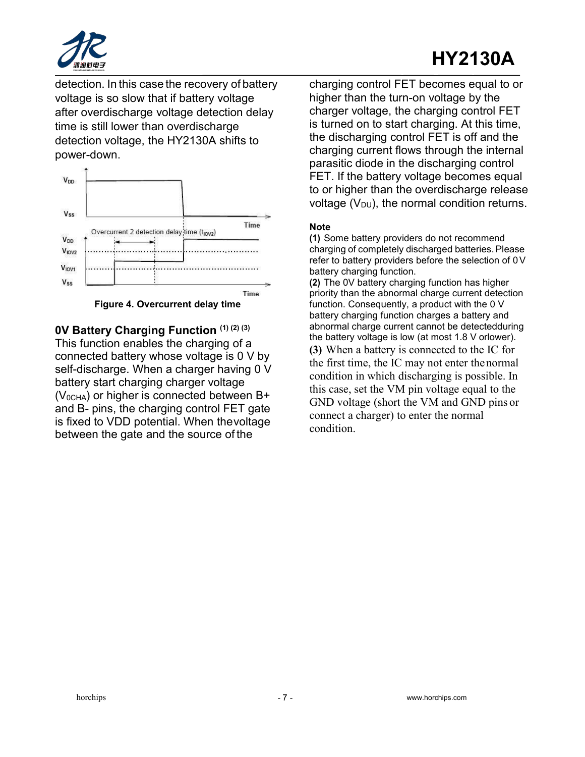

# **HY2130A**

detection. In this case the recovery of battery voltage is so slow that if battery voltage after overdischarge voltage detection delay time is still lower than overdischarge detection voltage, the HY2130A shifts to power-down.



**Figure 4. Overcurrent delay time**

**0V Battery Charging Function (1) (2) (3)** This function enables the charging of a connected battery whose voltage is 0 V by self-discharge. When a charger having 0 V battery start charging charger voltage  $(V_{0CHA})$  or higher is connected between B+ and B- pins, the charging control FET gate is fixed to VDD potential. When thevoltage between the gate and the source of the

charging control FET becomes equal to or higher than the turn-on voltage by the charger voltage, the charging control FET is turned on to start charging. At this time, the discharging control FET is off and the charging current flows through the internal parasitic diode in the discharging control FET. If the battery voltage becomes equal to or higher than the overdischarge release voltage  $(V_{DU})$ , the normal condition returns.

#### **Note**

**(1)** Some battery providers do not recommend charging of completely discharged batteries.Please refer to battery providers before the selection of  $0V$ battery charging function.

**(2)** The 0V battery charging function has higher priority than the abnormal charge current detection function. Consequently, a product with the 0 V battery charging function charges a battery and abnormal charge current cannot be detectedduring the battery voltage is low (at most 1.8 V orlower). **(3)** When a battery is connected to the IC for the first time, the IC may not enter thenormal condition in which discharging is possible. In this case, set the VM pin voltage equal to the GND voltage (short the VM and GND pins or connect a charger) to enter the normal condition.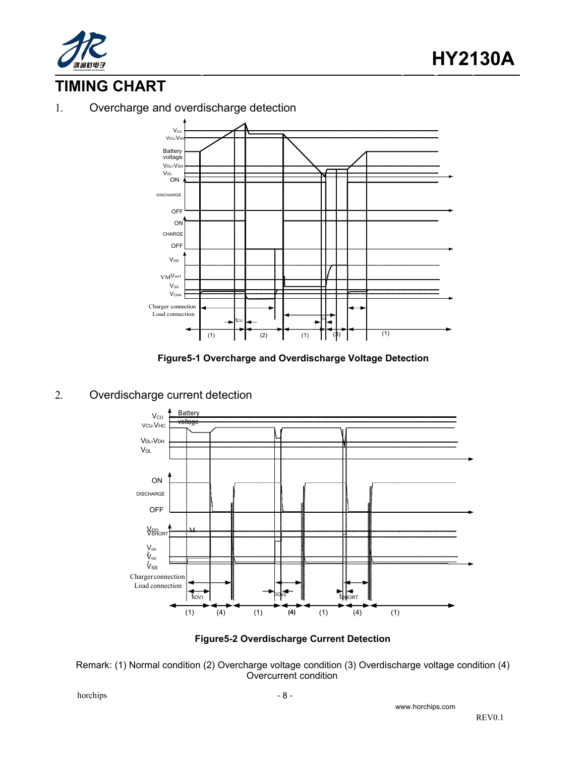

## **TIMING CHART**

1. Overcharge and overdischarge detection



**Figure5-1 Overcharge and Overdischarge Voltage Detection**

#### 2. Overdischarge current detection





Remark: (1) Normal condition (2) Overcharge voltage condition (3) Overdischarge voltage condition (4) Overcurrent condition

 $h$  - 8 -  $\sim$  8 -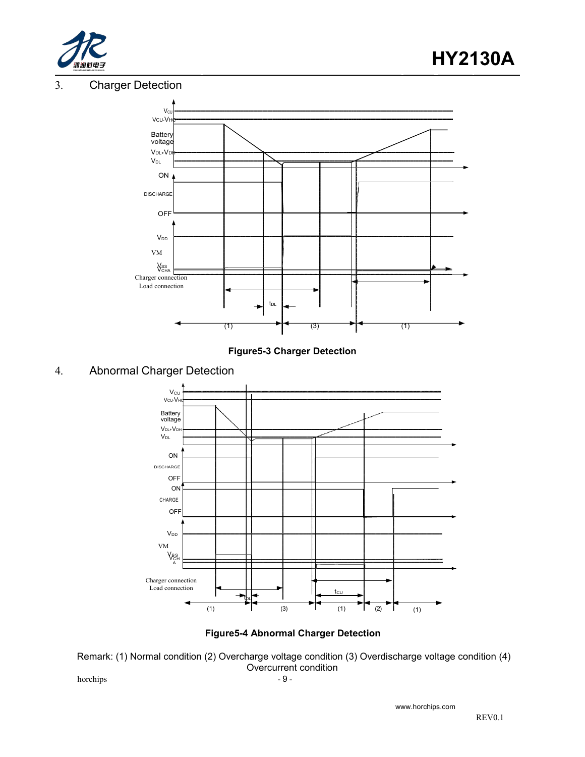

#### 3. Charger Detection





#### 4. Abnormal Charger Detection



#### **Figure5-4 Abnormal Charger Detection**

Remark: (1) Normal condition (2) Overcharge voltage condition (3) Overdischarge voltage condition (4) Overcurrent condition

 $h$  - 9 -  $\sim$  9 -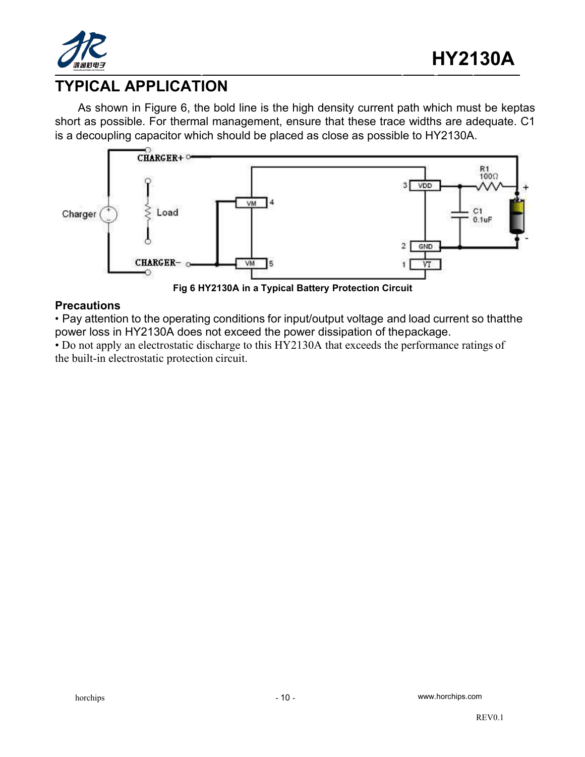

## **TYPICAL APPLICATION**

As shown in Figure 6, the bold line is the high density current path which must be keptas short as possible. For thermal management, ensure that these trace widths are adequate. C1 is a decoupling capacitor which should be placed as close as possible to HY2130A.



**Fig 6 HY2130A in a Typical Battery Protection Circuit**

#### **Precautions**

• Pay attention to the operating conditions for input/output voltage and load current so thatthe power loss in HY2130A does not exceed the power dissipation of thepackage.

• Do not apply an electrostatic discharge to this HY2130A that exceeds the performance ratings of the built-in electrostatic protection circuit.